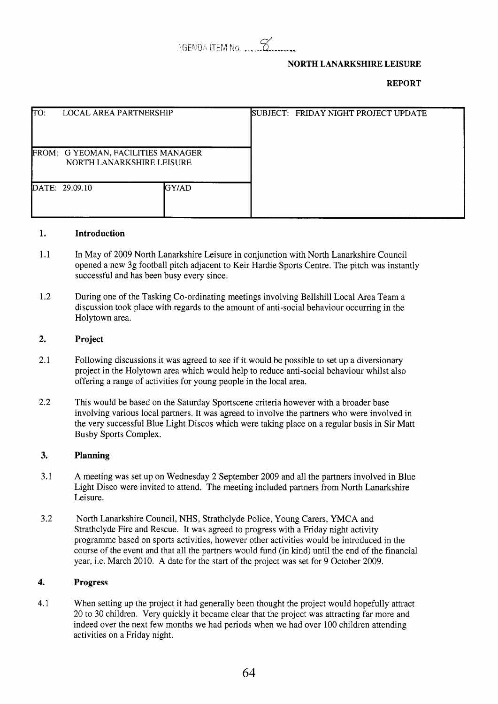

# **NORTH LANARKSHIRE LEISURE**

# **REPORT**

| TO: | <b>LOCAL AREA PARTNERSHIP</b>                                   |       | SUBJECT: FRIDAY NIGHT PROJECT UPDATE |
|-----|-----------------------------------------------------------------|-------|--------------------------------------|
|     | FROM: G YEOMAN, FACILITIES MANAGER<br>NORTH LANARKSHIRE LEISURE |       |                                      |
|     | DATE: 29.09.10                                                  | GY/AD |                                      |

### **1. Introduction**

- 1.1 In May of 2009 North Lanarkshire Leisure in conjunction with North Lanarkshire Council opened a new 3g football pitch adjacent to Keir Hardie Sports Centre. The pitch was instantly successful and has been busy every since.
- 1.2 During one of the Tasking Co-ordinating meetings involving Bellshill Local Area Team a discussion took place with regards to the amount of anti-social behaviour occurring in the Holytown area.

#### **2. Project**

- 2.1 Following discussions it was agreed to see if it would be possible to set up a diversionary project in the Holytown area which would help to reduce anti-social behaviour whilst also offering a range of activities for young people in the local area.
- 2.2 This would be based on the Saturday Sportscene criteria however with a broader base involving various local partners. It was agreed to involve the partners who were involved in the very successful Blue Light Discos which were taking place on a regular basis in Sir Matt Busby Sports Complex.

#### **3. Planning**

- 3.1 A meeting was set up on Wednesday 2 September 2009 and all the partners involved in Blue Light Disco were invited to attend. The meeting included partners from North Lanarkshire Leisure.
- **3.2**  North Lanarkshire Council, NHS, Strathclyde Police, Young Carers, YMCA and Strathclyde Fire and Rescue. It was agreed to progress with a Friday night activity programme based on sports activities, however other activities would be introduced in the course of the event and that all the partners would fund (in kind) until the end of the financial year, i.e. March 2010. A date for the start of the project was set for 9 October 2009.

#### **4. Progress**

4.1 When setting up the project it had generally been thought the project would hopefully attract 20 to 30 children. Very quickly it became clear that the project was attracting far more and indeed over the next few months we had periods when we had over 100 children attending activities on a Friday night.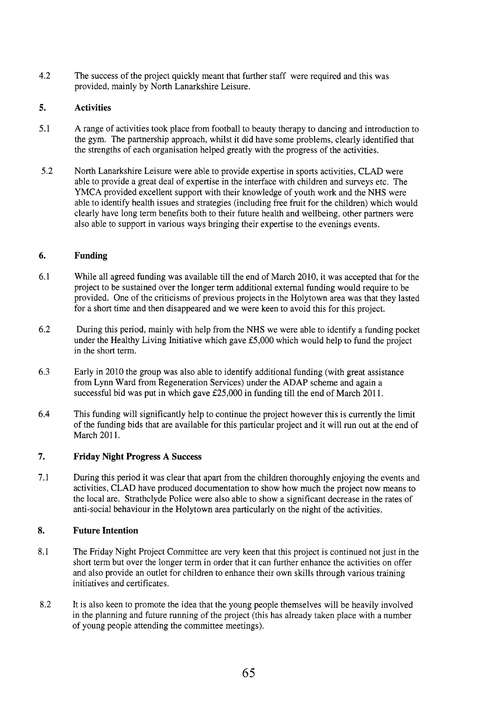4.2 The success of the project quickly meant that further staff were required and this was provided, mainly by North Lanarkshire Leisure.

# *5.*  **Activities**

- 5.1 A range of activities took place from football to beauty therapy to dancing and introduction to the gym. The partnership approach, whilst it did have some problems, clearly identified that the strengths of each organisation helped greatly with the progress of the activities.
- 5.2 North Lanarkshire Leisure were able to provide expertise in sports activities, CLAD were able to provide a great deal of expertise in the interface with children and surveys etc. The YMCA provided excellent support with their knowledge of youth work and the NHS were able to identify health issues and strategies (including free fruit for the children) which would clearly have long term benefits both to their future health and wellbeing, other partners were also able to support in various ways bringing their expertise to the evenings events.

# **6. Funding**

- 6.1 While all agreed funding was available till the end of March 2010, it was accepted that for the project to be sustained over the longer term additional external funding would require to be provided. One of the criticisms of previous projects in the Holytown area was that they lasted for a short time and then disappeared and we were keen to avoid this for this project.
- 6.2 During this period, mainly with help from the NHS we were able to identify a funding pocket under the Healthy Living Initiative which gave E5,OOO which would help to fund the project in the short term.
- 6.3 Early in 2010 the group was also able to identify additional funding (with great assistance from Lynn Ward from Regeneration Services) under the ADAP scheme and again a successful bid was put in which gave  $£25,000$  in funding till the end of March 2011.
- 6.4 This funding will significantly help to continue the project however this is currently the limit of the funding bids that are available for this particular project and it will run out at the end of March 2011.

## **7. Friday Night Progress A Success**

7.1 During this period it was clear that apart from the children thoroughly enjoying the events and activities, CLAD have produced documentation to show how much the project now means to the local are. Strathclyde Police were also able to show a significant decrease in the rates of anti-social behaviour in the Holytown area particularly on the night of the activities.

## **8. Future Intention**

- 8.1 The Friday Night Project Committee are very keen that this project is continued not just in the short term but over the longer term in order that it can further enhance the activities on offer and also provide an outlet for children to enhance their own skills through various training initiatives and certificates.
- 8.2 It is also keen to promote the idea that the young people themselves will be heavily involved in the planning and future running of the project (this has already taken place with a number of young people attending the committee meetings).